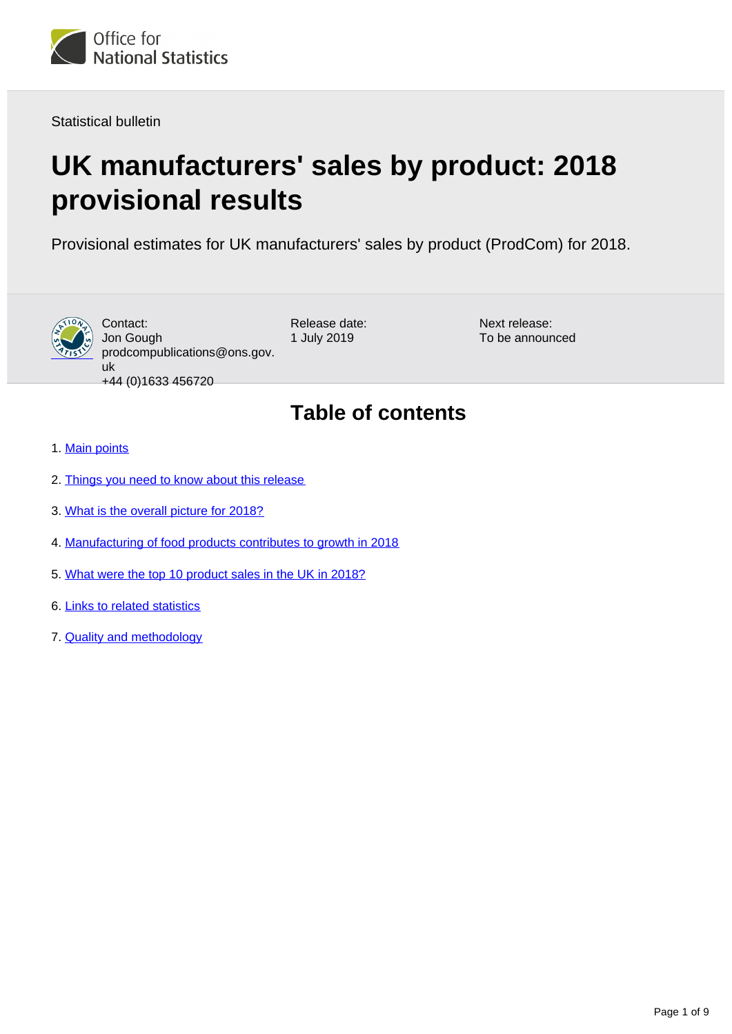<span id="page-0-0"></span>

Statistical bulletin

# **UK manufacturers' sales by product: 2018 provisional results**

Provisional estimates for UK manufacturers' sales by product (ProdCom) for 2018.



Contact: Jon Gough prodcompublications@ons.gov. uk +44 (0)1633 456720

Release date: 1 July 2019

Next release: To be announced

## **Table of contents**

- 1. [Main points](#page-1-0)
- 2. [Things you need to know about this release](#page-1-1)
- 3. [What is the overall picture for 2018?](#page-2-0)
- 4. [Manufacturing of food products contributes to growth in 2018](#page-6-0)
- 5. [What were the top 10 product sales in the UK in 2018?](#page-6-1)
- 6. [Links to related statistics](#page-7-0)
- 7. [Quality and methodology](#page-7-1)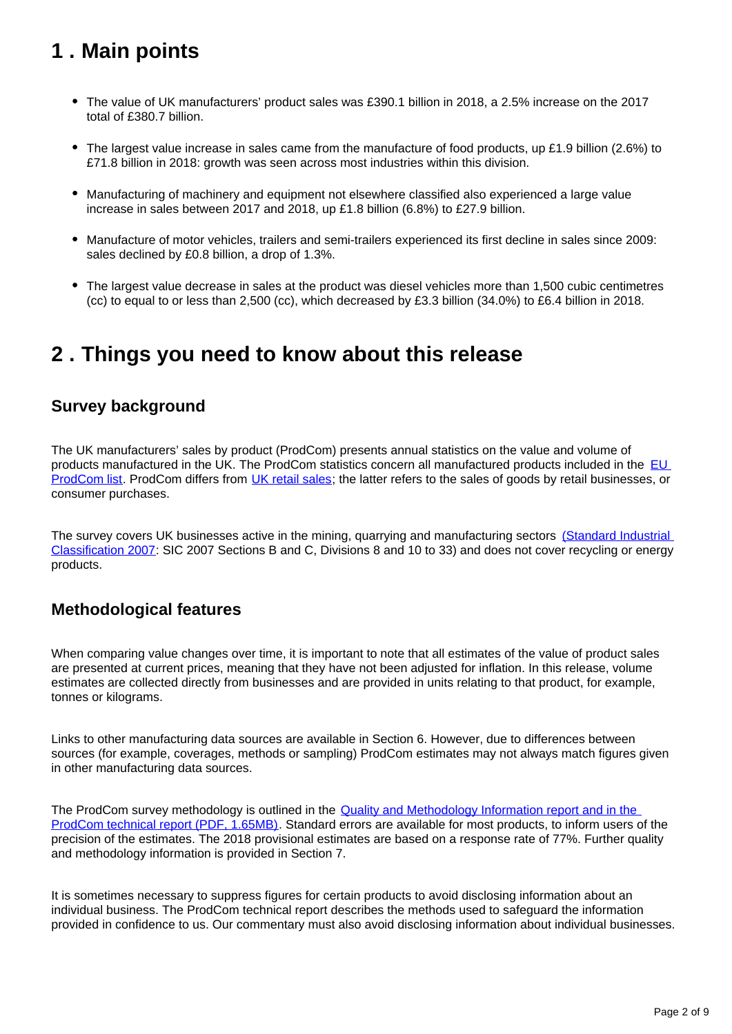## <span id="page-1-0"></span>**1 . Main points**

- The value of UK manufacturers' product sales was £390.1 billion in 2018, a 2.5% increase on the 2017 total of £380.7 billion.
- The largest value increase in sales came from the manufacture of food products, up £1.9 billion (2.6%) to £71.8 billion in 2018: growth was seen across most industries within this division.
- Manufacturing of machinery and equipment not elsewhere classified also experienced a large value increase in sales between 2017 and 2018, up £1.8 billion (6.8%) to £27.9 billion.
- Manufacture of motor vehicles, trailers and semi-trailers experienced its first decline in sales since 2009: sales declined by £0.8 billion, a drop of 1.3%.
- The largest value decrease in sales at the product was diesel vehicles more than 1,500 cubic centimetres (cc) to equal to or less than 2,500 (cc), which decreased by £3.3 billion (34.0%) to £6.4 billion in 2018.

### <span id="page-1-1"></span>**2 . Things you need to know about this release**

### **Survey background**

The UK manufacturers' sales by product (ProdCom) presents annual statistics on the value and volume of products manufactured in the UK. The ProdCom statistics concern all manufactured products included in the [EU](https://ec.europa.eu/eurostat/statistics-explained/index.php/Glossary:PRODCOM_list)  [ProdCom list.](https://ec.europa.eu/eurostat/statistics-explained/index.php/Glossary:PRODCOM_list) ProdCom differs from [UK retail sales](https://www.ons.gov.uk/businessindustryandtrade/retailindustry/bulletins/retailsales/previousReleases); the latter refers to the sales of goods by retail businesses, or consumer purchases.

The survey covers UK businesses active in the mining, quarrying and manufacturing sectors (Standard Industrial [Classification 2007:](https://www.ons.gov.uk/methodology/classificationsandstandards/ukstandardindustrialclassificationofeconomicactivities/uksic2007) SIC 2007 Sections B and C, Divisions 8 and 10 to 33) and does not cover recycling or energy products.

### **Methodological features**

When comparing value changes over time, it is important to note that all estimates of the value of product sales are presented at current prices, meaning that they have not been adjusted for inflation. In this release, volume estimates are collected directly from businesses and are provided in units relating to that product, for example, tonnes or kilograms.

Links to other manufacturing data sources are available in Section 6. However, due to differences between sources (for example, coverages, methods or sampling) ProdCom estimates may not always match figures given in other manufacturing data sources.

The ProdCom survey methodology is outlined in the [Quality and Methodology Information report and in the](https://www.ons.gov.uk/methodology/classificationsandstandards/ukstandardindustrialclassificationofeconomicactivities/uksic2007)  [ProdCom technical report \(PDF, 1.65MB\).](https://www.ons.gov.uk/methodology/classificationsandstandards/ukstandardindustrialclassificationofeconomicactivities/uksic2007) Standard errors are available for most products, to inform users of the precision of the estimates. The 2018 provisional estimates are based on a response rate of 77%. Further quality and methodology information is provided in Section 7.

It is sometimes necessary to suppress figures for certain products to avoid disclosing information about an individual business. The ProdCom technical report describes the methods used to safeguard the information provided in confidence to us. Our commentary must also avoid disclosing information about individual businesses.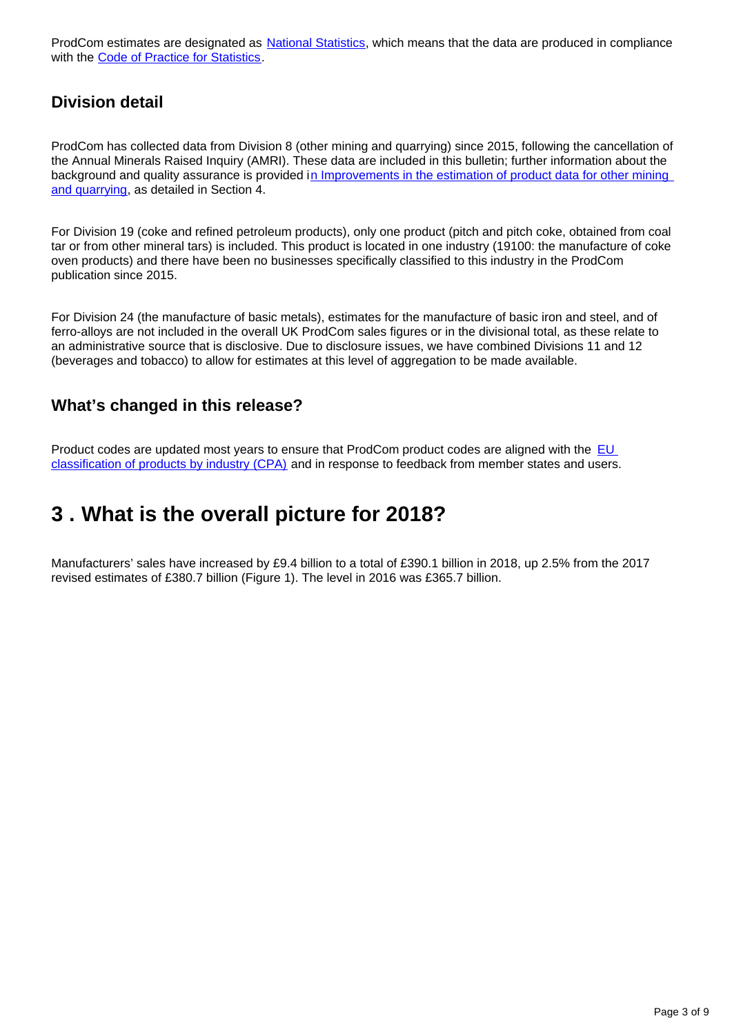ProdCom estimates are designated as [National Statistics](https://www.statisticsauthority.gov.uk/about-the-authority/uk-statistical-system/types-of-official-statistics/), which means that the data are produced in compliance with the [Code of Practice for Statistics.](https://www.statisticsauthority.gov.uk/code-of-practice/)

### **Division detail**

ProdCom has collected data from Division 8 (other mining and quarrying) since 2015, following the cancellation of the Annual Minerals Raised Inquiry (AMRI). These data are included in this bulletin; further information about the background and quality assurance is provided in Improvements in the estimation of product data for other mining [and quarrying,](https://www.ons.gov.uk/businessindustryandtrade/manufacturingandproductionindustry/articles/improvementsintheestimationofproductdataforotherminingandquarrying/2018-06-26) as detailed in Section 4.

For Division 19 (coke and refined petroleum products), only one product (pitch and pitch coke, obtained from coal tar or from other mineral tars) is included. This product is located in one industry (19100: the manufacture of coke oven products) and there have been no businesses specifically classified to this industry in the ProdCom publication since 2015.

For Division 24 (the manufacture of basic metals), estimates for the manufacture of basic iron and steel, and of ferro-alloys are not included in the overall UK ProdCom sales figures or in the divisional total, as these relate to an administrative source that is disclosive. Due to disclosure issues, we have combined Divisions 11 and 12 (beverages and tobacco) to allow for estimates at this level of aggregation to be made available.

### **What's changed in this release?**

Product codes are updated most years to ensure that ProdCom product codes are aligned with the EU [classification of products by industry \(CPA\)](https://ec.europa.eu/eurostat/statistics-explained/index.php/Glossary:Statistical_classification_of_products_by_activity_(CPA)) and in response to feedback from member states and users.

## <span id="page-2-0"></span>**3 . What is the overall picture for 2018?**

Manufacturers' sales have increased by £9.4 billion to a total of £390.1 billion in 2018, up 2.5% from the 2017 revised estimates of £380.7 billion (Figure 1). The level in 2016 was £365.7 billion.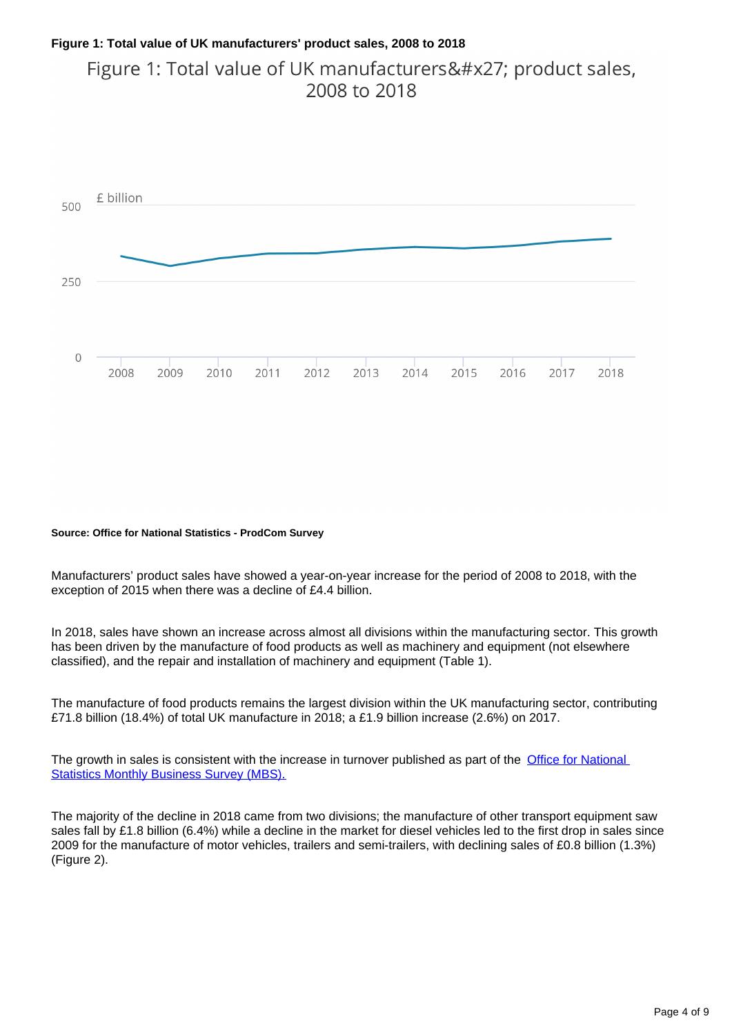#### **Figure 1: Total value of UK manufacturers' product sales, 2008 to 2018**

Figure 1: Total value of UK manufacturers' product sales, 2008 to 2018



#### **Source: Office for National Statistics - ProdCom Survey**

Manufacturers' product sales have showed a year-on-year increase for the period of 2008 to 2018, with the exception of 2015 when there was a decline of £4.4 billion.

In 2018, sales have shown an increase across almost all divisions within the manufacturing sector. This growth has been driven by the manufacture of food products as well as machinery and equipment (not elsewhere classified), and the repair and installation of machinery and equipment (Table 1).

The manufacture of food products remains the largest division within the UK manufacturing sector, contributing £71.8 billion (18.4%) of total UK manufacture in 2018; a £1.9 billion increase (2.6%) on 2017.

The growth in sales is consistent with the increase in turnover published as part of the Office for National **[Statistics Monthly Business Survey \(MBS\).](https://www.ons.gov.uk/economy/economicoutputandproductivity/output/bulletins/indexofproduction/previousReleases)** 

The majority of the decline in 2018 came from two divisions; the manufacture of other transport equipment saw sales fall by £1.8 billion (6.4%) while a decline in the market for diesel vehicles led to the first drop in sales since 2009 for the manufacture of motor vehicles, trailers and semi-trailers, with declining sales of £0.8 billion (1.3%) (Figure 2).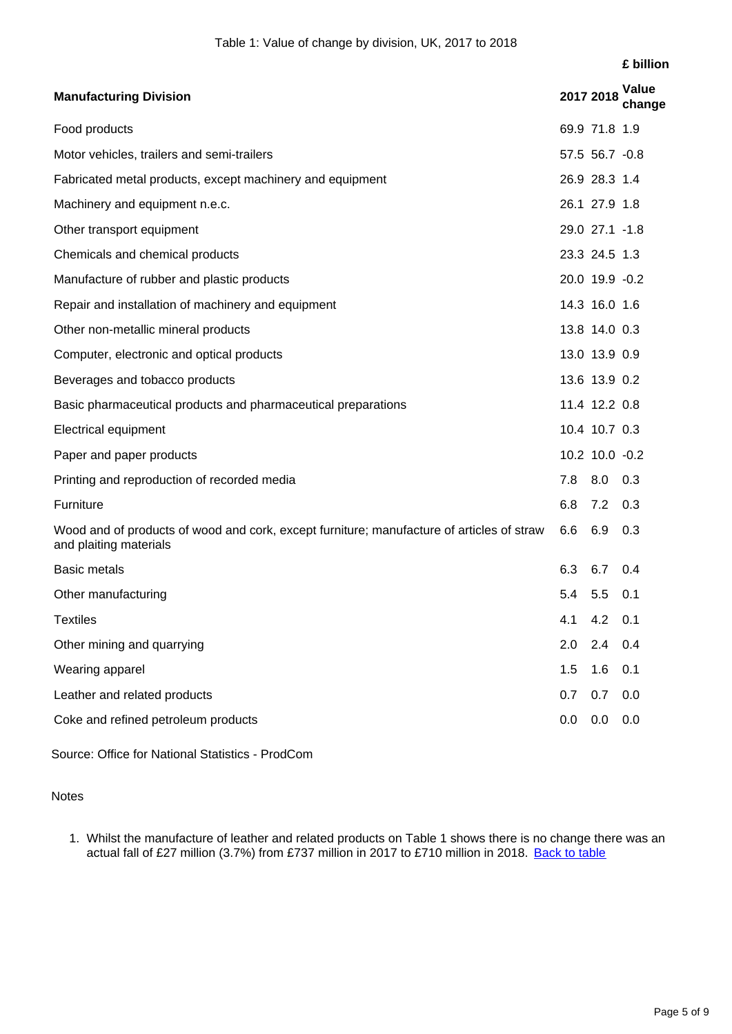#### **£ billion**

| <b>Manufacturing Division</b>                                                                                       |     | 2017 2018       | Value<br>change |
|---------------------------------------------------------------------------------------------------------------------|-----|-----------------|-----------------|
| Food products                                                                                                       |     | 69.9 71.8 1.9   |                 |
| Motor vehicles, trailers and semi-trailers                                                                          |     | 57.5 56.7 -0.8  |                 |
| Fabricated metal products, except machinery and equipment                                                           |     | 26.9 28.3 1.4   |                 |
| Machinery and equipment n.e.c.                                                                                      |     | 26.1 27.9 1.8   |                 |
| Other transport equipment                                                                                           |     | 29.0 27.1 -1.8  |                 |
| Chemicals and chemical products                                                                                     |     | 23.3 24.5 1.3   |                 |
| Manufacture of rubber and plastic products                                                                          |     | 20.0 19.9 -0.2  |                 |
| Repair and installation of machinery and equipment                                                                  |     | 14.3 16.0 1.6   |                 |
| Other non-metallic mineral products                                                                                 |     | 13.8 14.0 0.3   |                 |
| Computer, electronic and optical products                                                                           |     | 13.0 13.9 0.9   |                 |
| Beverages and tobacco products                                                                                      |     | 13.6 13.9 0.2   |                 |
| Basic pharmaceutical products and pharmaceutical preparations                                                       |     | 11.4 12.2 0.8   |                 |
| <b>Electrical equipment</b>                                                                                         |     | 10.4 10.7 0.3   |                 |
| Paper and paper products                                                                                            |     | 10.2 10.0 -0.2  |                 |
| Printing and reproduction of recorded media                                                                         | 7.8 | 8.0 0.3         |                 |
| Furniture                                                                                                           | 6.8 | $7.2 \quad 0.3$ |                 |
| Wood and of products of wood and cork, except furniture; manufacture of articles of straw<br>and plaiting materials | 6.6 | 6.9             | 0.3             |
| <b>Basic metals</b>                                                                                                 | 6.3 | 6.7             | 0.4             |
| Other manufacturing                                                                                                 | 5.4 | 5.5             | 0.1             |
| <b>Textiles</b>                                                                                                     | 4.1 | 4.2             | 0.1             |
| Other mining and quarrying                                                                                          | 2.0 | 2.4             | 0.4             |
| Wearing apparel                                                                                                     | 1.5 | 1.6             | 0.1             |
| Leather and related products                                                                                        | 0.7 | 0.7             | 0.0             |
| Coke and refined petroleum products                                                                                 | 0.0 | 0.0             | 0.0             |

Source: Office for National Statistics - ProdCom

**Notes** 

1. Whilst the manufacture of leather and related products on Table 1 shows there is no change there was an actual fall of £27 million (3.7%) from £737 million in 2017 to £710 million in 2018. [Back to table](#page-0-0)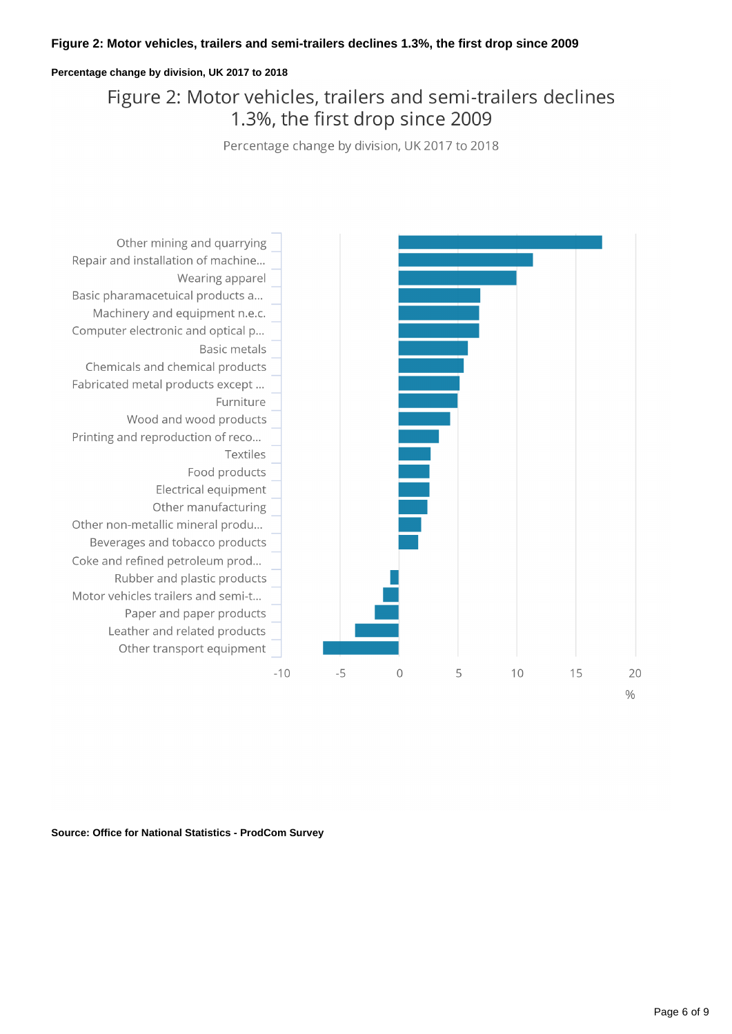#### **Figure 2: Motor vehicles, trailers and semi-trailers declines 1.3%, the first drop since 2009**

#### **Percentage change by division, UK 2017 to 2018**

### Figure 2: Motor vehicles, trailers and semi-trailers declines 1.3%, the first drop since 2009

Percentage change by division, UK 2017 to 2018



**Source: Office for National Statistics - ProdCom Survey**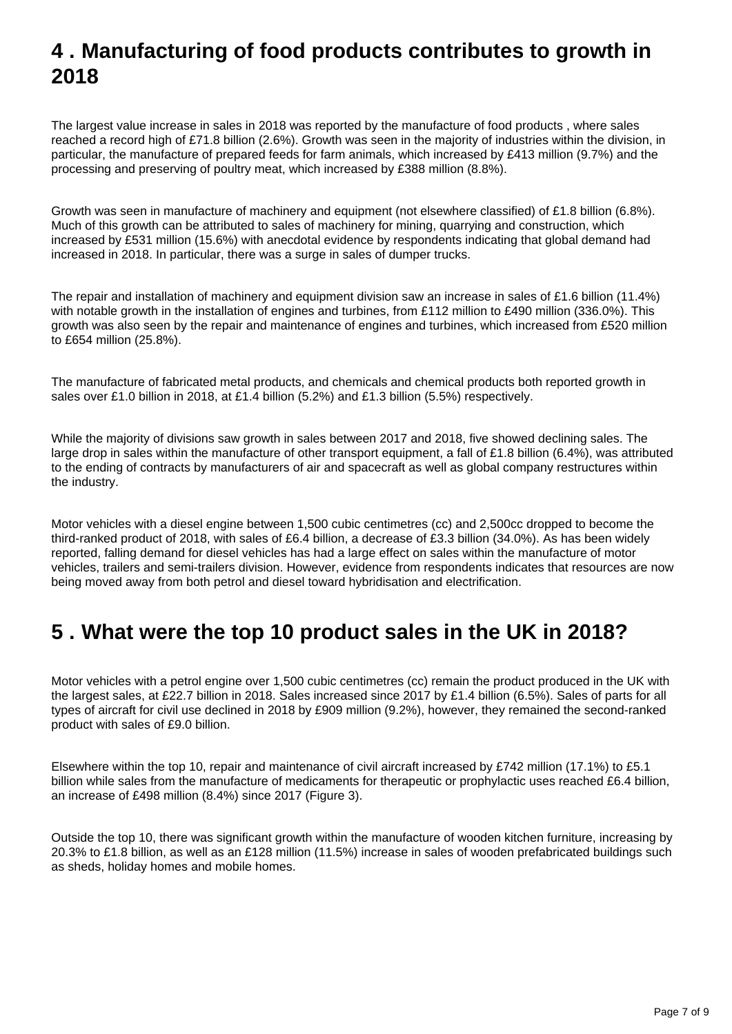## <span id="page-6-0"></span>**4 . Manufacturing of food products contributes to growth in 2018**

The largest value increase in sales in 2018 was reported by the manufacture of food products , where sales reached a record high of £71.8 billion (2.6%). Growth was seen in the majority of industries within the division, in particular, the manufacture of prepared feeds for farm animals, which increased by £413 million (9.7%) and the processing and preserving of poultry meat, which increased by £388 million (8.8%).

Growth was seen in manufacture of machinery and equipment (not elsewhere classified) of £1.8 billion (6.8%). Much of this growth can be attributed to sales of machinery for mining, quarrying and construction, which increased by £531 million (15.6%) with anecdotal evidence by respondents indicating that global demand had increased in 2018. In particular, there was a surge in sales of dumper trucks.

The repair and installation of machinery and equipment division saw an increase in sales of £1.6 billion (11.4%) with notable growth in the installation of engines and turbines, from £112 million to £490 million (336.0%). This growth was also seen by the repair and maintenance of engines and turbines, which increased from £520 million to £654 million (25.8%).

The manufacture of fabricated metal products, and chemicals and chemical products both reported growth in sales over £1.0 billion in 2018, at £1.4 billion (5.2%) and £1.3 billion (5.5%) respectively.

While the majority of divisions saw growth in sales between 2017 and 2018, five showed declining sales. The large drop in sales within the manufacture of other transport equipment, a fall of £1.8 billion (6.4%), was attributed to the ending of contracts by manufacturers of air and spacecraft as well as global company restructures within the industry.

Motor vehicles with a diesel engine between 1,500 cubic centimetres (cc) and 2,500cc dropped to become the third-ranked product of 2018, with sales of £6.4 billion, a decrease of £3.3 billion (34.0%). As has been widely reported, falling demand for diesel vehicles has had a large effect on sales within the manufacture of motor vehicles, trailers and semi-trailers division. However, evidence from respondents indicates that resources are now being moved away from both petrol and diesel toward hybridisation and electrification.

## <span id="page-6-1"></span>**5 . What were the top 10 product sales in the UK in 2018?**

Motor vehicles with a petrol engine over 1,500 cubic centimetres (cc) remain the product produced in the UK with the largest sales, at £22.7 billion in 2018. Sales increased since 2017 by £1.4 billion (6.5%). Sales of parts for all types of aircraft for civil use declined in 2018 by £909 million (9.2%), however, they remained the second-ranked product with sales of £9.0 billion.

Elsewhere within the top 10, repair and maintenance of civil aircraft increased by £742 million (17.1%) to £5.1 billion while sales from the manufacture of medicaments for therapeutic or prophylactic uses reached £6.4 billion, an increase of £498 million (8.4%) since 2017 (Figure 3).

Outside the top 10, there was significant growth within the manufacture of wooden kitchen furniture, increasing by 20.3% to £1.8 billion, as well as an £128 million (11.5%) increase in sales of wooden prefabricated buildings such as sheds, holiday homes and mobile homes.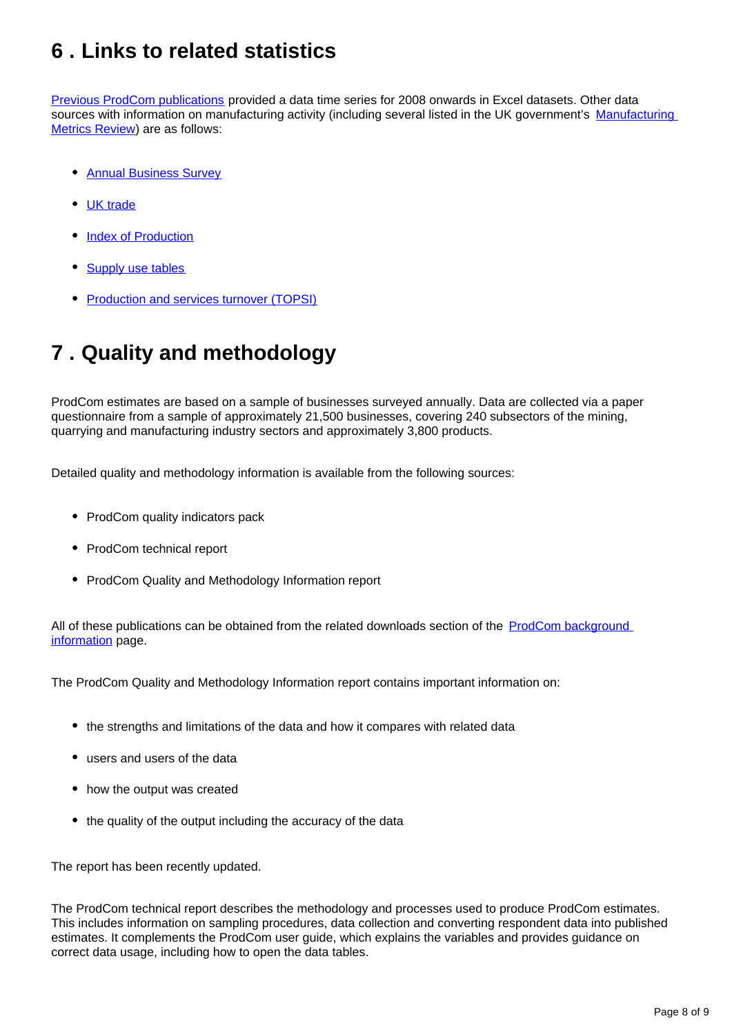## <span id="page-7-0"></span>**6 . Links to related statistics**

[Previous ProdCom publications](https://www.ons.gov.uk/businessindustryandtrade/manufacturingandproductionindustry/bulletins/ukmanufacturerssalesbyproductprodcom/previousReleases) provided a data time series for 2008 onwards in Excel datasets. Other data sources with information on manufacturing activity (including several listed in the UK government's Manufacturing [Metrics Review](https://www.gov.uk/government/publications/manufacturing-metrics-review)) are as follows:

- [Annual Business Survey](https://www.ons.gov.uk/businessindustryandtrade/business/businessservices/bulletins/uknonfinancialbusinesseconomy/2017provisionalresults)
- [UK trade](https://www.ons.gov.uk/economy/nationalaccounts/balanceofpayments/bulletins/uktrade/previousReleases)
- [Index of Production](https://www.ons.gov.uk/economy/nationalaccounts/balanceofpayments/bulletins/uktrade/previousReleases)
- [Supply use tables](https://www.ons.gov.uk/economy/nationalaccounts/supplyandusetables/datasets/inputoutputsupplyandusetables)
- [Production and services turnover \(TOPSI\)](https://www.ons.gov.uk/businessindustryandtrade/manufacturingandproductionindustry/datasets/topsiproductionandservicesturnover)

## <span id="page-7-1"></span>**7 . Quality and methodology**

ProdCom estimates are based on a sample of businesses surveyed annually. Data are collected via a paper questionnaire from a sample of approximately 21,500 businesses, covering 240 subsectors of the mining, quarrying and manufacturing industry sectors and approximately 3,800 products.

Detailed quality and methodology information is available from the following sources:

- ProdCom quality indicators pack
- ProdCom technical report
- ProdCom Quality and Methodology Information report

All of these publications can be obtained from the related downloads section of the [ProdCom background](https://www.ons.gov.uk/businessindustryandtrade/manufacturingandproductionindustry/methodologies/ukmanufacturerssalesbyproductprodcom)  [information](https://www.ons.gov.uk/businessindustryandtrade/manufacturingandproductionindustry/methodologies/ukmanufacturerssalesbyproductprodcom) page.

The ProdCom Quality and Methodology Information report contains important information on:

- the strengths and limitations of the data and how it compares with related data
- users and users of the data
- how the output was created
- the quality of the output including the accuracy of the data

The report has been recently updated.

The ProdCom technical report describes the methodology and processes used to produce ProdCom estimates. This includes information on sampling procedures, data collection and converting respondent data into published estimates. It complements the ProdCom user guide, which explains the variables and provides guidance on correct data usage, including how to open the data tables.